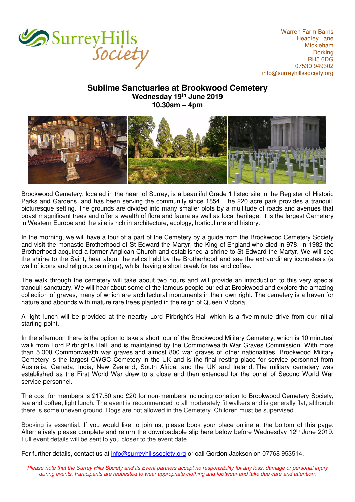

Warren Farm Barns Headley Lane Mickleham **Dorking** RH5 6DG 07530 949302 [info@surreyhillssociety.org](mailto:chairman@surreyhillssociety.org)

## **Sublime Sanctuaries at Brookwood Cemetery Wednesday 19th June 2019 10.30am – 4pm**



Brookwood Cemetery, located in the heart of Surrey, is a beautiful Grade 1 listed site in the Register of Historic Parks and Gardens, and has been serving the community since 1854. The 220 acre park provides a tranquil, picturesque setting. The grounds are divided into many smaller plots by a multitude of roads and avenues that boast magnificent trees and offer a wealth of flora and fauna as well as local heritage. It is the largest Cemetery in Western Europe and the site is rich in architecture, ecology, horticulture and history.

In the morning, we will have a tour of a part of the Cemetery by a guide from the Brookwood Cemetery Society and visit the monastic Brotherhood of St Edward the Martyr, the King of [England](https://en.wikipedia.org/wiki/Kingdom_of_England) who died in 978. In 1982 the Brotherhood acquired a former Anglican Church and established a shrine to St Edward the Martyr. We will see the shrine to the Saint, hear about the relics held by the Brotherhood and see the extraordinary iconostasis (a wall of icons and religious paintings), whilst having a short break for tea and coffee.

The walk through the cemetery will take about two hours and will provide an introduction to this very special tranquil sanctuary. We will hear about some of the famous people buried at Brookwood and explore the amazing collection of graves, many of which are architectural monuments in their own right. The cemetery is a haven for nature and abounds with mature rare trees planted in the reign of Queen Victoria.

A light lunch will be provided at the nearby Lord Pirbright's Hall which is a five-minute drive from our initial starting point.

In the afternoon there is the option to take a short tour of the Brookwood Military Cemetery, which is 10 minutes' walk from Lord Pirbright's Hall, and is maintained by the Commonwealth War Graves Commission. With more than 5,000 Commonwealth war graves and almost 800 war graves of other nationalities, Brookwood Military Cemetery is the largest CWGC Cemetery in the UK and is the final resting place for service personnel from Australia, Canada, India, New Zealand, South Africa, and the UK and Ireland. The military cemetery was established as the First World War drew to a close and then extended for the burial of Second World War service personnel.

The cost for members is £17.50 and £20 for non-members including donation to Brookwood Cemetery Society, tea and coffee, light lunch. The event is recommended to all moderately fit walkers and is generally flat, although there is some uneven ground. Dogs are not allowed in the Cemetery. Children must be supervised.

Booking is essential. If you would like to join us, please book your place online at the bottom of this page. Alternatively please complete and return the downloadable slip here below before Wednesday 12th June 2019. Full event details will be sent to you closer to the event date.

For further details, contact us at [info@surreyhillssociety.org](mailto:info@surreyhillssociety.org) or call Gordon Jackson on 07768 953514.

*Please note that the Surrey Hills Society and its Event partners accept no responsibility for any loss, damage or personal injury during events. Participants are requested to wear appropriate clothing and footwear and take due care and attention.*